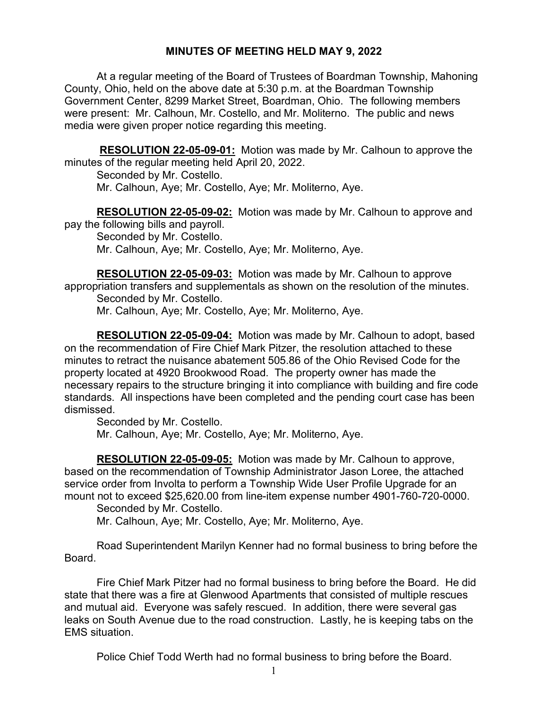## **MINUTES OF MEETING HELD MAY 9, 2022**

At a regular meeting of the Board of Trustees of Boardman Township, Mahoning County, Ohio, held on the above date at 5:30 p.m. at the Boardman Township Government Center, 8299 Market Street, Boardman, Ohio. The following members were present: Mr. Calhoun, Mr. Costello, and Mr. Moliterno. The public and news media were given proper notice regarding this meeting.

**RESOLUTION 22-05-09-01:** Motion was made by Mr. Calhoun to approve the minutes of the regular meeting held April 20, 2022.

Seconded by Mr. Costello. Mr. Calhoun, Aye; Mr. Costello, Aye; Mr. Moliterno, Aye.

**RESOLUTION 22-05-09-02:** Motion was made by Mr. Calhoun to approve and pay the following bills and payroll.

Seconded by Mr. Costello. Mr. Calhoun, Aye; Mr. Costello, Aye; Mr. Moliterno, Aye.

**RESOLUTION 22-05-09-03:** Motion was made by Mr. Calhoun to approve appropriation transfers and supplementals as shown on the resolution of the minutes. Seconded by Mr. Costello.

Mr. Calhoun, Aye; Mr. Costello, Aye; Mr. Moliterno, Aye.

**RESOLUTION 22-05-09-04:** Motion was made by Mr. Calhoun to adopt, based on the recommendation of Fire Chief Mark Pitzer, the resolution attached to these minutes to retract the nuisance abatement 505.86 of the Ohio Revised Code for the property located at 4920 Brookwood Road. The property owner has made the necessary repairs to the structure bringing it into compliance with building and fire code standards. All inspections have been completed and the pending court case has been dismissed.

Seconded by Mr. Costello.

Mr. Calhoun, Aye; Mr. Costello, Aye; Mr. Moliterno, Aye.

**RESOLUTION 22-05-09-05:** Motion was made by Mr. Calhoun to approve, based on the recommendation of Township Administrator Jason Loree, the attached service order from Involta to perform a Township Wide User Profile Upgrade for an mount not to exceed \$25,620.00 from line-item expense number 4901-760-720-0000.

Seconded by Mr. Costello.

Mr. Calhoun, Aye; Mr. Costello, Aye; Mr. Moliterno, Aye.

Road Superintendent Marilyn Kenner had no formal business to bring before the Board.

Fire Chief Mark Pitzer had no formal business to bring before the Board. He did state that there was a fire at Glenwood Apartments that consisted of multiple rescues and mutual aid. Everyone was safely rescued. In addition, there were several gas leaks on South Avenue due to the road construction. Lastly, he is keeping tabs on the EMS situation.

Police Chief Todd Werth had no formal business to bring before the Board.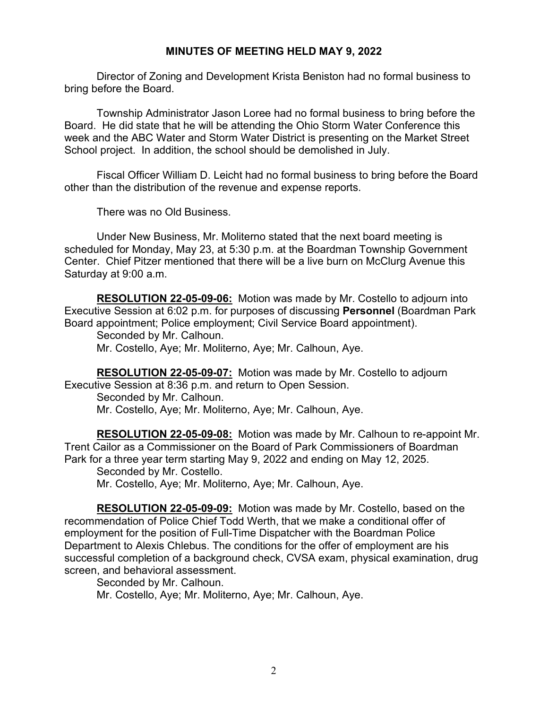## **MINUTES OF MEETING HELD MAY 9, 2022**

Director of Zoning and Development Krista Beniston had no formal business to bring before the Board.

Township Administrator Jason Loree had no formal business to bring before the Board. He did state that he will be attending the Ohio Storm Water Conference this week and the ABC Water and Storm Water District is presenting on the Market Street School project. In addition, the school should be demolished in July.

Fiscal Officer William D. Leicht had no formal business to bring before the Board other than the distribution of the revenue and expense reports.

There was no Old Business.

Under New Business, Mr. Moliterno stated that the next board meeting is scheduled for Monday, May 23, at 5:30 p.m. at the Boardman Township Government Center. Chief Pitzer mentioned that there will be a live burn on McClurg Avenue this Saturday at 9:00 a.m.

**RESOLUTION 22-05-09-06:** Motion was made by Mr. Costello to adjourn into Executive Session at 6:02 p.m. for purposes of discussing **Personnel** (Boardman Park Board appointment; Police employment; Civil Service Board appointment).

Seconded by Mr. Calhoun.

Mr. Costello, Aye; Mr. Moliterno, Aye; Mr. Calhoun, Aye.

**RESOLUTION 22-05-09-07:** Motion was made by Mr. Costello to adjourn Executive Session at 8:36 p.m. and return to Open Session.

Seconded by Mr. Calhoun. Mr. Costello, Aye; Mr. Moliterno, Aye; Mr. Calhoun, Aye.

**RESOLUTION 22-05-09-08:** Motion was made by Mr. Calhoun to re-appoint Mr. Trent Cailor as a Commissioner on the Board of Park Commissioners of Boardman Park for a three year term starting May 9, 2022 and ending on May 12, 2025.

Seconded by Mr. Costello. Mr. Costello, Aye; Mr. Moliterno, Aye; Mr. Calhoun, Aye.

**RESOLUTION 22-05-09-09:** Motion was made by Mr. Costello, based on the recommendation of Police Chief Todd Werth, that we make a conditional offer of employment for the position of Full-Time Dispatcher with the Boardman Police Department to Alexis Chlebus. The conditions for the offer of employment are his successful completion of a background check, CVSA exam, physical examination, drug screen, and behavioral assessment.

Seconded by Mr. Calhoun.

Mr. Costello, Aye; Mr. Moliterno, Aye; Mr. Calhoun, Aye.